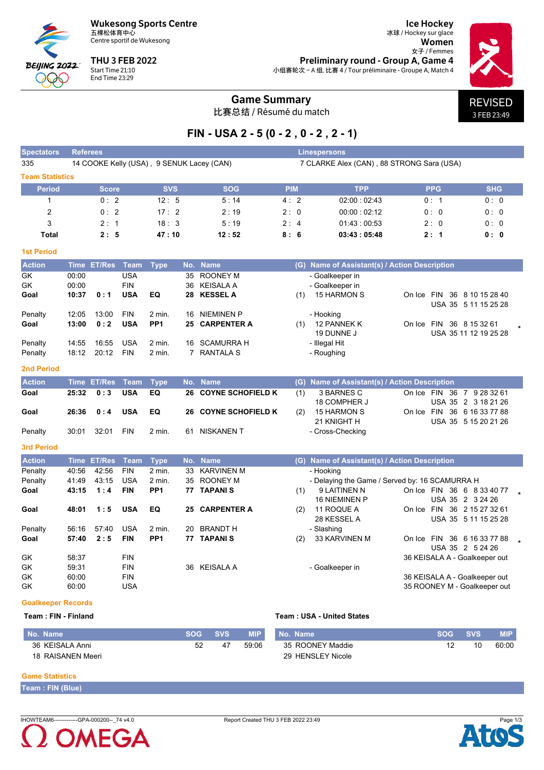

Centre sportif de Wukesong

**THU 3 FEB 2022** Start Time 21:10<br>End Time 23:29

**Ice Hockey** 冰球 / Hockey sur glace Women 女子 / Femmes Preliminary round - Group A, Game 4 小组赛轮次 - A 组, 比赛 4 / Tour préliminaire - Groupe A, Match 4



## **Game Summary**

比赛总结 / Résumé du match

# FIN - USA 2 - 5 (0 - 2, 0 - 2, 2 - 1)

| <b>Spectators</b>      | <b>Referees</b> |                    |             |                 |     |                                           | <b>Linespersons</b> |     |                                                |                               |                       |  |  |  |  |  |
|------------------------|-----------------|--------------------|-------------|-----------------|-----|-------------------------------------------|---------------------|-----|------------------------------------------------|-------------------------------|-----------------------|--|--|--|--|--|
| 335                    |                 |                    |             |                 |     | 14 COOKE Kelly (USA), 9 SENUK Lacey (CAN) |                     |     | 7 CLARKE Alex (CAN), 88 STRONG Sara (USA)      |                               |                       |  |  |  |  |  |
| <b>Team Statistics</b> |                 |                    |             |                 |     |                                           |                     |     |                                                |                               |                       |  |  |  |  |  |
| <b>Period</b>          |                 | <b>Score</b>       |             | <b>SVS</b>      |     | <b>SOG</b>                                | <b>PIM</b>          |     | <b>TPP</b>                                     | <b>PPG</b>                    | <b>SHG</b>            |  |  |  |  |  |
| $\mathbf{1}$           |                 | 0:2                |             | 12:5            |     | 5:14                                      | 4:2                 |     | 02:00:02:43                                    | 0:1                           | 0:0                   |  |  |  |  |  |
| $\overline{2}$         |                 | 0:2                |             | 17:2            |     | 2:19                                      | 2:0                 |     | 00:00:02:12                                    | 0:0                           | 0:0                   |  |  |  |  |  |
| 3                      |                 | 2:1                |             | 18:3            |     | 5:19                                      | 2:4                 |     | 01.43:00.53                                    | 2:0                           | 0:0                   |  |  |  |  |  |
| <b>Total</b>           |                 | 2:5                |             | 47:10           |     | 12:52                                     | 8:6                 |     | 03:43:05:48                                    | 2:1                           | 0: 0                  |  |  |  |  |  |
| <b>1st Period</b>      |                 |                    |             |                 |     |                                           |                     |     |                                                |                               |                       |  |  |  |  |  |
| <b>Action</b>          | <b>Time</b>     | ET/Res             | <b>Team</b> | <b>Type</b>     | No. | <b>Name</b>                               |                     |     | (G) Name of Assistant(s) / Action Description  |                               |                       |  |  |  |  |  |
| GK                     | 00:00           |                    | <b>USA</b>  |                 | 35  | <b>ROONEY M</b>                           |                     |     | - Goalkeeper in                                |                               |                       |  |  |  |  |  |
| GK                     | 00:00           |                    | <b>FIN</b>  |                 | 36  | <b>KEISALA A</b>                          |                     |     | - Goalkeeper in                                |                               |                       |  |  |  |  |  |
| Goal                   | 10:37           | 0:1                | <b>USA</b>  | EQ              | 28  | <b>KESSEL A</b>                           |                     | (1) | <b>15 HARMON S</b>                             | On Ice FIN 36 8 10 15 28 40   |                       |  |  |  |  |  |
|                        |                 |                    |             |                 |     |                                           |                     |     |                                                |                               | USA 35 5 11 15 25 28  |  |  |  |  |  |
| Penalty                | 12:05           | 13:00              | <b>FIN</b>  | $2$ min.        | 16  | <b>NIEMINEN P</b>                         |                     |     | - Hooking                                      |                               |                       |  |  |  |  |  |
| Goal                   | 13:00           | 0:2                | <b>USA</b>  | PP <sub>1</sub> | 25  | <b>CARPENTER A</b>                        |                     | (1) | 12 PANNEK K                                    | On Ice FIN 36 8 15 32 61      |                       |  |  |  |  |  |
|                        |                 |                    |             |                 |     |                                           |                     |     | 19 DUNNE J                                     |                               | USA 35 11 12 19 25 28 |  |  |  |  |  |
| Penalty                | 14:55           | 16:55              | <b>USA</b>  | $2$ min.        | 16  | <b>SCAMURRA H</b>                         |                     |     | - Illegal Hit                                  |                               |                       |  |  |  |  |  |
| Penalty                | 18:12           | 20:12              | <b>FIN</b>  | 2 min.          |     | 7 RANTALA S                               |                     |     | - Roughing                                     |                               |                       |  |  |  |  |  |
| <b>2nd Period</b>      |                 |                    |             |                 |     |                                           |                     |     |                                                |                               |                       |  |  |  |  |  |
| <b>Action</b>          |                 | Time ET/Res        | <b>Team</b> | <b>Type</b>     |     | No. Name                                  |                     |     | (G) Name of Assistant(s) / Action Description  |                               |                       |  |  |  |  |  |
| Goal                   | 25:32           | 0:3                | <b>USA</b>  | EQ              |     | <b>26 COYNE SCHOFIELD K</b>               |                     | (1) | 3 BARNES C                                     | On Ice FIN 36 7 9 28 32 61    |                       |  |  |  |  |  |
|                        |                 |                    |             |                 |     |                                           |                     |     | 18 COMPHER J                                   |                               | USA 35 2 3 18 21 26   |  |  |  |  |  |
| Goal                   | 26:36           | 0:4                | <b>USA</b>  | EQ              | 26  | <b>COYNE SCHOFIELD K</b>                  |                     | (2) | 15 HARMON S                                    | On Ice FIN                    | 36 6 16 33 77 88      |  |  |  |  |  |
|                        |                 |                    |             |                 |     |                                           |                     |     | 21 KNIGHT H                                    |                               | USA 35 5 15 20 21 26  |  |  |  |  |  |
| Penalty                | 30:01           | 32:01              | <b>FIN</b>  | $2$ min.        | 61  | <b>NISKANEN T</b>                         |                     |     | - Cross-Checking                               |                               |                       |  |  |  |  |  |
| <b>3rd Period</b>      |                 |                    |             |                 |     |                                           |                     |     |                                                |                               |                       |  |  |  |  |  |
| <b>Action</b>          |                 | <b>Time ET/Res</b> | <b>Team</b> | <b>Type</b>     |     | No. Name                                  |                     |     | (G) Name of Assistant(s) / Action Description  |                               |                       |  |  |  |  |  |
| Penalty                | 40:56           | 42:56              | <b>FIN</b>  | $2$ min.        | 33  | <b>KARVINEN M</b>                         |                     |     | - Hooking                                      |                               |                       |  |  |  |  |  |
| Penalty                | 41:49           | 43:15              | <b>USA</b>  | 2 min.          | 35  | <b>ROONEY M</b>                           |                     |     | - Delaying the Game / Served by: 16 SCAMURRA H |                               |                       |  |  |  |  |  |
| Goal                   | 43:15           | 1:4                | <b>FIN</b>  | PP <sub>1</sub> |     | <b>77 TAPANIS</b>                         |                     | (1) | 9 LAITINEN N                                   | On Ice FIN 36 6 8 33 40 77    |                       |  |  |  |  |  |
|                        |                 |                    |             |                 |     |                                           |                     |     | <b>16 NIEMINEN P</b>                           | USA 35 2 3 24 26              |                       |  |  |  |  |  |
| Goal                   | 48:01           | 1:5                | <b>USA</b>  | EQ              | 25  | <b>CARPENTER A</b>                        |                     | (2) | 11 ROQUE A<br>28 KESSEL A                      | On Ice FIN 36 2 15 27 32 61   | USA 35 5 11 15 25 28  |  |  |  |  |  |
| Penalty                | 56:16           | 57:40              | <b>USA</b>  | 2 min.          | 20  | <b>BRANDT H</b>                           |                     |     | - Slashing                                     |                               |                       |  |  |  |  |  |
| Goal                   | 57:40           | 2:5                | <b>FIN</b>  | PP <sub>1</sub> |     | <b>77 TAPANIS</b>                         |                     | (2) | 33 KARVINEN M                                  | On Ice FIN 36 6 16 33 77 88   |                       |  |  |  |  |  |
|                        |                 |                    |             |                 |     |                                           |                     |     |                                                | USA 35 2 5 24 26              |                       |  |  |  |  |  |
| GK                     | 58:37           |                    | <b>FIN</b>  |                 |     |                                           |                     |     |                                                | 36 KEISALA A - Goalkeeper out |                       |  |  |  |  |  |
| GK                     | 59:31           |                    | <b>FIN</b>  |                 |     | 36 KEISALA A                              |                     |     | - Goalkeeper in                                |                               |                       |  |  |  |  |  |
| GK                     | 60:00           |                    | <b>FIN</b>  |                 |     |                                           |                     |     |                                                | 36 KEISALA A - Goalkeeper out |                       |  |  |  |  |  |
| GK                     |                 |                    | <b>USA</b>  |                 |     |                                           |                     |     |                                                |                               |                       |  |  |  |  |  |
|                        | 60:00           |                    |             |                 |     |                                           |                     |     |                                                | 35 ROONEY M - Goalkeeper out  |                       |  |  |  |  |  |

### **Goalkeeper Records**

#### Team: FIN - Finland

#### **Team: USA - United States**

| No. Name          | <b>SOG</b> | <b>SVS</b> | <b>MIP</b> | No. Name          | <b>SOG</b> | <b>SVS</b> | <b>MIP</b> |
|-------------------|------------|------------|------------|-------------------|------------|------------|------------|
| 36 KEISALA Anni   | 52         | 47         | 59.06      | 35 ROONEY Maddie  |            | 10         | 60:00      |
| 18 RAISANEN Meeri |            |            |            | 29 HENSLEY Nicole |            |            |            |

#### **Game Statistics**

Team : FIN (Blue)

IHOWTEAM6-------------GPA-000200--\_74 v4.0



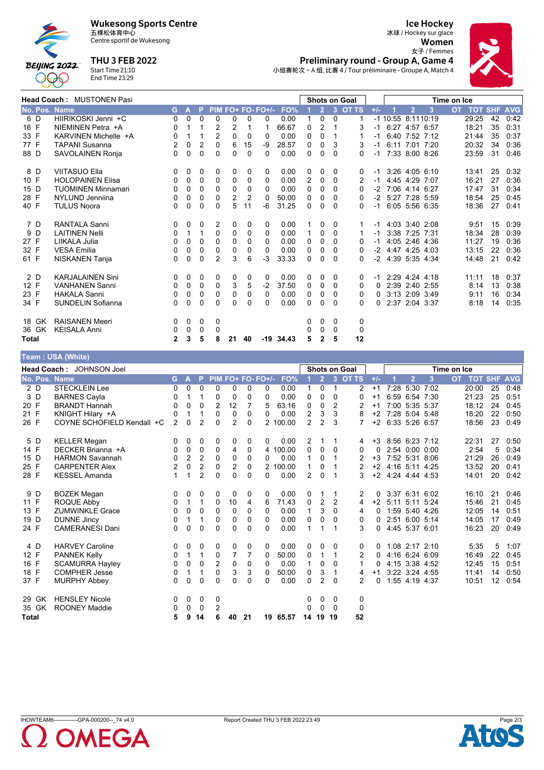



Centre sportif de Wukesong

**THU 3 FEB 2022** 



**Ice Hockey** 冰球 / Hockey sur glace Women 女子 / Femmes Preliminary round - Group A, Game 4 小组赛轮次 - A 组, 比赛 4 / Tour préliminaire - Groupe A, Match 4



|               | <b>Head Coach: MUSTONEN Pasi</b> |              |              |          |                |                |          |                   | <b>Shots on Goal</b> |          |                |          |              | Time on Ice |                      |                |   |       |    |                    |
|---------------|----------------------------------|--------------|--------------|----------|----------------|----------------|----------|-------------------|----------------------|----------|----------------|----------|--------------|-------------|----------------------|----------------|---|-------|----|--------------------|
| No. Pos. Name |                                  | G.           | $\mathbf{A}$ | P.       |                |                |          | PIM FO+ FO- FO+/- | FO%                  |          | $\overline{2}$ | 3        | <b>OT TS</b> | $+/-$       |                      | $\overline{2}$ | 3 | OT.   |    | <b>TOT SHF AVG</b> |
| 6 D           | HIIRIKOSKI Jenni +C              | 0            | 0            | 0        | 0              | 0              | 0        | 0                 | 0.00                 | 1        | $\Omega$       | $\Omega$ |              |             | $-1$ 10:55 8:1110:19 |                |   | 29:25 | 42 | 0:42               |
| 16 F          | NIEMINEN Petra +A                | 0            |              |          | 2              | 2              |          |                   | 66.67                | 0        | 2              |          | 3            | $-1$        |                      | 6:27 4:57 6:57 |   | 18:21 | 35 | 0:31               |
| 33 F          | KARVINEN Michelle +A             | 0            |              | 1        | $\overline{2}$ | $\Omega$       | 0        | 0                 | 0.00                 | 0        | $\Omega$       |          |              | -1          |                      | 6:40 7:52 7:12 |   | 21:44 | 35 | 0:37               |
| 77 F          | <b>TAPANI Susanna</b>            | 2            | 0            | 2        | 0              | 6              | 15       | -9                | 28.57                | 0        | 0              | 3        | 3            |             |                      | 6:11 7:01 7:20 |   | 20:32 | 34 | 0:36               |
| 88 D          | SAVOLAINEN Ronja                 | $\Omega$     | $\Omega$     | $\Omega$ | $\Omega$       | 0              | $\Omega$ | 0                 | 0.00                 | 0        | $\Omega$       | $\Omega$ | 0            | -1          |                      | 7:33 8:00 8:26 |   | 23:59 | 31 | 0:46               |
| 8 D           | <b>VIITASUO Ella</b>             | 0            | 0            | 0        | 0              | 0              | 0        | 0                 | 0.00                 | 0        | 0              | 0        | 0            | -1          |                      | 3:26 4:05 6:10 |   | 13:41 | 25 | 0:32               |
| 10 F          | <b>HOLOPAINEN Elisa</b>          | 0            | 0            | 0        | 0              | 0              | 0        | 0                 | 0.00                 | 2        | 0              | 0        | 2            | $-1$        |                      | 4:45 4:29 7:07 |   | 16:21 | 27 | 0:36               |
| 15 D          | <b>TUOMINEN Minnamari</b>        | 0            | 0            | 0        | $\Omega$       | 0              | 0        | $\Omega$          | 0.00                 | 0        | 0              | $\Omega$ | 0            | -2          |                      | 7:06 4:14 6:27 |   | 17:47 | 31 | 0:34               |
| 28 F          | NYLUND Jenniina                  | 0            | 0            | 0        | 0              | $\overline{2}$ | 2        | $\Omega$          | 50.00                | 0        | 0              | 0        | 0            | $-2$        |                      | 5:27 7:28 5:59 |   | 18:54 | 25 | 0:45               |
| 40 F          | <b>TULUS Noora</b>               | 0            | 0            | 0        | 0              | 5              | 11       | -6                | 31.25                | 0        | 0              | $\Omega$ | 0            | -1          |                      | 6:05 5:56 6:35 |   | 18:36 | 27 | 0:41               |
| 7 D           | <b>RANTALA Sanni</b>             | 0            | 0            | 0        | 2              | 0              | 0        | 0                 | 0.00                 |          | 0              | 0        | 1.           | $-1$        |                      | 4:03 3:40 2:08 |   | 9:51  | 15 | 0:39               |
| 9 D           | <b>LAITINEN Nelli</b>            | 0            |              | 1        | 0              | 0              | 0        | 0                 | 0.00                 |          | 0              | $\Omega$ |              | -1          |                      | 3:38 7:25 7:31 |   | 18:34 | 28 | 0:39               |
| 27 F          | LIIKALA Julia                    | 0            | 0            | 0        | 0              | 0              | 0        | 0                 | 0.00                 | 0        | 0              | $\Omega$ | 0            | -1          |                      | 4:05 2:46 4:36 |   | 11:27 | 19 | 0:36               |
| 32 F          | <b>VESA Emilia</b>               | 0            | 0            | 0        | 0              | 0              | 0        | 0                 | 0.00                 | 0        | 0              | 0        | 0            | $-2$        |                      | 4:47 4:25 4:03 |   | 13:15 | 22 | 0:36               |
| 61 F          | NISKANEN Tanja                   | 0            | $\Omega$     | 0        | $\overline{2}$ | 3              | 6        | $-3$              | 33.33                | 0        | 0              | 0        | 0            | -2          |                      | 4:39 5:35 4:34 |   | 14:48 | 21 | 0:42               |
| 2 D           | <b>KARJALAINEN Sini</b>          | 0            | 0            | 0        | 0              | 0              | 0        | 0                 | 0.00                 | 0        | 0              | 0        | 0            | -1          |                      | 2:29 4:24 4:18 |   | 11:11 | 18 | 0:37               |
| 12 F          | <b>VANHANEN Sanni</b>            | 0            | 0            | 0        | 0              | 3              | 5        | $-2$              | 37.50                | 0        | 0              | $\Omega$ | 0            | 0           |                      | 2:39 2:40 2:55 |   | 8:14  | 13 | 0:36               |
| 23 F          | <b>HAKALA Sanni</b>              | 0            | 0            | 0        | 0              | 0              | 0        | 0                 | 0.00                 | 0        | 0              | 0        | 0            | 0           |                      | 3:13 2:09 3:49 |   | 9:11  | 16 | 0:34               |
| 34 F          | <b>SUNDELIN Sofianna</b>         | 0            | 0            | 0        | $\Omega$       | $\Omega$       | 0        | $\Omega$          | 0.00                 | $\Omega$ | 0              | $\Omega$ | 0            | 0           |                      | 2:37 2:04 3:37 |   | 8:18  | 14 | 0:35               |
| 18 GK         | <b>RAISANEN Meeri</b>            | 0            | 0            | 0        | 0              |                |          |                   |                      | 0        | 0              | 0        | 0            |             |                      |                |   |       |    |                    |
| 36 GK         | <b>KEISALA Anni</b>              | 0            | 0            | 0        | 0              |                |          |                   |                      | 0        | 0              | $\Omega$ | 0            |             |                      |                |   |       |    |                    |
| <b>Total</b>  |                                  | $\mathbf{2}$ | 3            | 5        | 8              | 21             | 40       |                   | $-19$ 34.43          | 5        | 2              | 5        | 12           |             |                      |                |   |       |    |                    |

#### Team : USA (White)

|              |       | Head Coach: JOHNSON Joel   |                |          |                |              |                |          |                   |          |                |                |                | <b>Shots on Goal</b> |          |                     | Time on Ice       |      |           |                |    |            |
|--------------|-------|----------------------------|----------------|----------|----------------|--------------|----------------|----------|-------------------|----------|----------------|----------------|----------------|----------------------|----------|---------------------|-------------------|------|-----------|----------------|----|------------|
|              |       | No. Pos. Name              | G.             | A        | P              |              |                |          | PIM FO+ FO- FO+/- | FO%      |                | $\overline{2}$ | $\overline{3}$ | <b>OT TS</b>         | $+/-$    |                     | $\overline{2}$    | 3    | <b>OT</b> | <b>TOT SHF</b> |    | <b>AVG</b> |
|              | 2 D   | <b>STECKLEIN Lee</b>       | 0              | 0        | $\Omega$       | 0            | 0              | 0        | 0                 | 0.00     |                | $\mathbf{0}$   | 1              | 2                    | $+1$     |                     | 7:28 5:30 7:02    |      |           | 20:00          | 25 | 0:48       |
|              | 3 D   | <b>BARNES Cayla</b>        | 0              |          |                | 0            | 0              | 0        | 0                 | 0.00     | 0              | $\Omega$       | $\mathbf{0}$   | 0                    | $+1$     |                     | 6:59 6:54 7:30    |      |           | 21:23          | 25 | 0:51       |
| 20 F         |       | <b>BRANDT Hannah</b>       | 0              | 0        | $\Omega$       | 2            | 12             | 7        | 5                 | 63.16    | 0              | $\Omega$       | 2              | 2                    | $+1$     |                     | 7:00 5:35 5:37    |      |           | 18:12          | 24 | 0:45       |
| 21 F         |       | KNIGHT Hilary +A           | 0              |          |                | $\mathbf 0$  | $\mathbf 0$    | $\Omega$ | 0                 | 0.00     | $\overline{2}$ | 3              | 3              | 8                    | $+2$     |                     | 7:28 5:04 5:48    |      |           | 18:20          | 22 | 0:50       |
| 26 F         |       | COYNE SCHOFIELD Kendall +C | $\overline{2}$ | $\Omega$ | 2              | $\Omega$     | 2              | $\Omega$ |                   | 2 100.00 | $\overline{2}$ | 2              | 3              | 7                    | $+2$     |                     | 6:33 5:26 6:57    |      |           | 18:56          | 23 | 0.49       |
| 5 D          |       | <b>KELLER Megan</b>        | 0              | 0        | 0              | 0            | 0              | 0        | 0                 | 0.00     | 2              |                |                | 4                    | $+3$     |                     | 8.56 6.23 7.12    |      |           | 22:31          | 27 | 0:50       |
| 14 F         |       | DECKER Brianna +A          | 0              | 0        | 0              | 0            | 4              | 0        |                   | 4 100.00 | 0              | $\mathbf{0}$   | $\mathbf{0}$   | 0                    | 0        |                     | 2:54 0:00 0:00    |      |           | 2:54           | 5  | 0:34       |
| 15 D         |       | <b>HARMON Savannah</b>     | 0              | 2        | 2              | 0            | 0              | 0        | 0                 | 0.00     |                | $\Omega$       | 1              | 2                    | $+3$     |                     | 7:52 5:31 8:06    |      |           | 21:29          | 26 | 0:49       |
| 25 F         |       | <b>CARPENTER Alex</b>      | $\overline{2}$ | 0        | 2              | $\mathbf 0$  | 2              | 0        |                   | 2 100.00 | 1              | 0              |                | 2                    |          | +2 4:16 5:11 4:25   |                   |      |           | 13:52          | 20 | 0:41       |
| 28 F         |       | <b>KESSEL Amanda</b>       |                |          | $\overline{2}$ | $\Omega$     | $\Omega$       | $\Omega$ | 0                 | 0.00     | 2              | $\mathbf{0}$   |                | 3                    |          | $+2$ 4:24 4:44 4:53 |                   |      |           | 14:01          | 20 | 0:42       |
|              | 9 D   | <b>BOZEK Megan</b>         | 0              | 0        | 0              | 0            | 0              | 0        | 0                 | 0.00     | 0              |                |                | 2                    | 0        |                     | 3:37 6:31 6:02    |      |           | 16:10          | 21 | 0:46       |
| 11 F         |       | ROQUE Abby                 | 0              | 1        | 1              | 0            | 10             | 4        | 6                 | 71.43    | 0              | 2              | 2              | 4                    | $+2$     |                     | $5:11 \quad 5:11$ | 5:24 |           | 15:46          | 21 | 0:45       |
| 13 F         |       | <b>ZUMWINKLE Grace</b>     | 0              | 0        | $\Omega$       | $\mathbf{0}$ | $\mathbf{0}$   | 0        | 0                 | 0.00     | 1              | 3              | $\Omega$       | 4                    | 0        |                     | 1:59 5:40 4:26    |      |           | 12:05          | 14 | 0:51       |
| 19 D         |       | <b>DUNNE Jincy</b>         | 0              | 1        | 1              | 0            | 0              | 0        | 0                 | 0.00     | $\mathbf{0}$   | 0              | $\mathbf{0}$   | 0                    | $\Omega$ |                     | 2:51 6:00 5:14    |      |           | 14:05          | 17 | 0:49       |
| 24 F         |       | <b>CAMERANESI Dani</b>     | 0              | 0        | $\Omega$       | $\Omega$     | $\Omega$       | $\Omega$ | $\Omega$          | 0.00     | 1              | 1              | 1              | 3                    | $\Omega$ |                     | 4:45 5:37 6:01    |      |           | 16:23          | 20 | 0:49       |
| 4 D          |       | <b>HARVEY Caroline</b>     | 0              | 0        | 0              | 0            | 0              | 0        | 0                 | 0.00     | 0              | 0              | 0              | 0                    | 0        |                     | 1:08 2:17 2:10    |      |           | 5.35           | 5  | 1:07       |
| 12 F         |       | <b>PANNEK Kelly</b>        | 0              | 1        | 1              | 0            | $\overline{7}$ | 7        | 0                 | 50.00    | 0              | 1              | 1              | 2                    | 0        |                     | 4:16 6:24 6:09    |      |           | 16:49          | 22 | 0:45       |
| 16 F         |       | <b>SCAMURRA Hayley</b>     | 0              | 0        | 0              | 2            | 0              | 0        | 0                 | 0.00     | 1              | 0              | $\Omega$       | 1                    | 0        |                     | 4:15 3:38 4:52    |      |           | 12:45          | 15 | 0:51       |
| 18 F         |       | <b>COMPHER Jesse</b>       | 0              |          | 1              | $\mathbf 0$  | 3              | 3        | 0                 | 50.00    | 0              | 3              | 1              | 4                    | $+1$     |                     | 3:22 3:24 4:55    |      |           | 11:41          | 14 | 0:50       |
| 37 F         |       | <b>MURPHY Abbey</b>        | 0              | 0        | $\Omega$       | $\Omega$     | $\Omega$       | 0        | 0                 | 0.00     | 0              | 2              | $\mathbf{0}$   | 2                    | 0        |                     | 1:55 4:19 4:37    |      |           | 10:51          | 12 | 0:54       |
|              | 29 GK | <b>HENSLEY Nicole</b>      | 0              | 0        | 0              | 0            |                |          |                   |          | 0              | 0              | 0              | 0                    |          |                     |                   |      |           |                |    |            |
|              | 35 GK | <b>ROONEY Maddie</b>       | 0              | 0        | $\Omega$       | 2            |                |          |                   |          | 0              | $\mathbf{0}$   | $\Omega$       | 0                    |          |                     |                   |      |           |                |    |            |
| <b>Total</b> |       |                            | 5              | 9        | 14             | 6            | 40             | 21       |                   | 19 65.57 | 14             | 19             | 19             | 52                   |          |                     |                   |      |           |                |    |            |